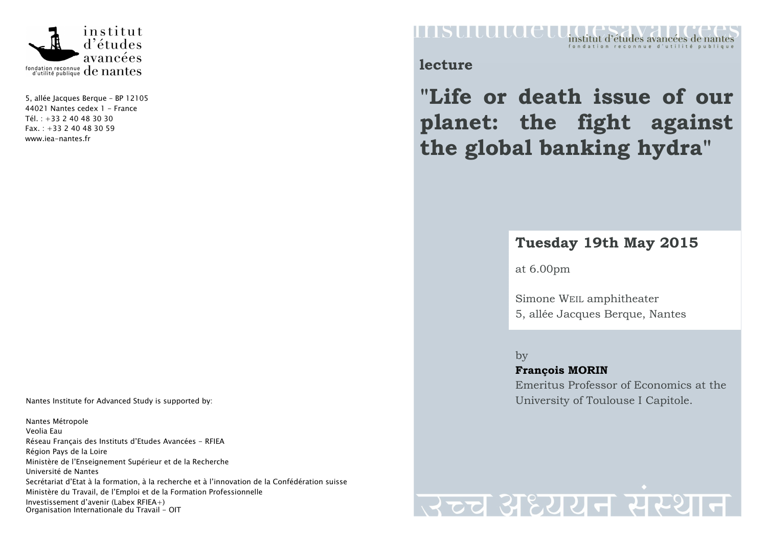

5, allée Jacques Berque – BP 12105 44021 Nantes cedex 1 - France Tél. : +33 2 40 48 30 30  $Fax. : +33240483059$ www.iea-nantes.fr

Nantes Institute for Advanced Study is supported by:

Nantes Métropole Veolia Eau Réseau Français des Instituts d'Etudes Avancées - RFIEA Région Pays de la Loire Ministère de l'Enseignement Supérieur et de la Recherche Université de Nantes Secrétariat d'Etat à la formation, à la recherche et à l'innovation de la Confédération suisse Ministère du Travail, de l'Emploi et de la Formation Professionnelle Investissement d'avenir (Labex RFIEA+) Organisation Internationale du Travail - OIT

#### FASULULO CU institut d'études avancées de nantes

**lecture** 

**"Life or death issue of our planet: the fight against the global banking hydra"** 

## **Tuesday 19th May 2015**

at 6.00pm

Simone WEIL amphitheater 5, allée Jacques Berque, Nantes

by **François MORIN** Emeritus Professor of Economics at the University of Toulouse I Capitole.

# उच्च अध्ययन संस्था